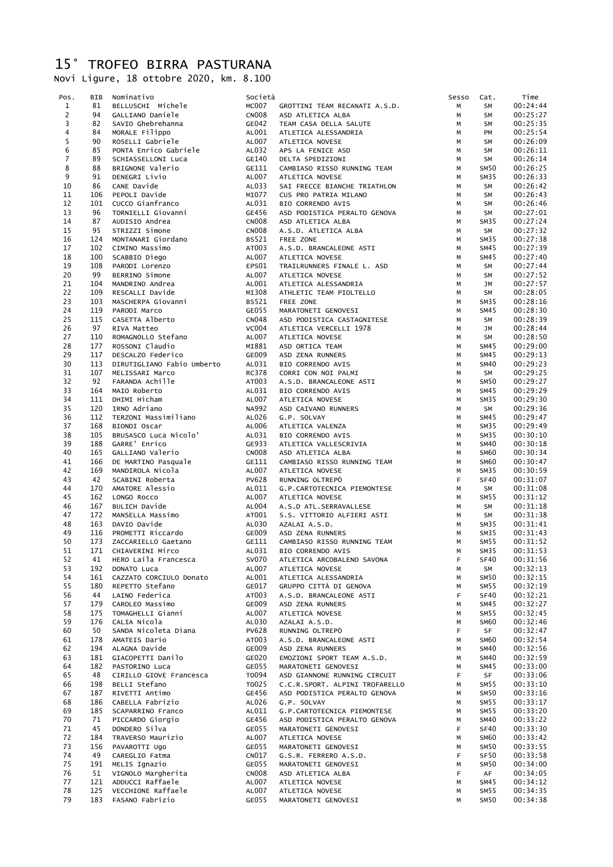## 15° TROFEO BIRRA PASTURANA

Novi Ligure, 18 ottobre 2020, km. 8.100

| Pos.                      | BIB        | Nominativo                             | Società               |                                                   | Sesso            | Cat.                     | Time                 |
|---------------------------|------------|----------------------------------------|-----------------------|---------------------------------------------------|------------------|--------------------------|----------------------|
| $\mathbf{1}$              | 81         | BELLUSCHI Michele                      | <b>MC007</b>          | GROTTINI TEAM RECANATI A.S.D.                     | M                | <b>SM</b>                | 00:24:44             |
| $\overline{c}$            | 94         | GALLIANO Daniele                       | <b>CN008</b>          | ASD ATLETICA ALBA                                 | М                | <b>SM</b>                | 00:25:27             |
| 3                         | 82         | SAVIO Ghebrehanna                      | GE042                 | TEAM CASA DELLA SALUTE                            | М                | <b>SM</b>                | 00:25:35             |
| 4                         | 84         | MORALE Filippo                         | AL001                 | ATLETICA ALESSANDRIA                              | M                | PM                       | 00:25:54             |
| 5                         | 90         | ROSELLI Gabriele                       | AL007                 | ATLETICA NOVESE                                   | M                | <b>SM</b>                | 00:26:09             |
| $\bf 6$<br>$\overline{7}$ | 85         | PONTA Enrico Gabriele                  | AL032                 | APS LA FENICE ASD                                 | M                | <b>SM</b>                | 00:26:11             |
| 8                         | 89<br>88   | SCHIASSELLONI Luca<br>BRIGNONE Valerio | GE140<br>GE111        | DELTA SPEDIZIONI<br>CAMBIASO RISSO RUNNING TEAM   | M<br>M           | <b>SM</b><br><b>SM50</b> | 00:26:14<br>00:26:25 |
| 9                         | 91         | DENEGRI Livio                          | AL007                 | ATLETICA NOVESE                                   | M                | SM35                     | 00:26:33             |
| 10                        | 86         | CANE Davide                            | AL033                 | SAI FRECCE BIANCHE TRIATHLON                      | M                | <b>SM</b>                | 00:26:42             |
| 11                        | 106        | PEPOLI Davide                          | MI077                 | CUS PRO PATRIA MILANO                             | M                | SM                       | 00:26:43             |
| 12                        | 101        | CUCCO Gianfranco                       | AL031                 | BIO CORRENDO AVIS                                 | M                | <b>SM</b>                | 00:26:46             |
| 13                        | 96         | TORNIELLI Giovanni                     | GE456                 | ASD PODISTICA PERALTO GENOVA                      | M                | SM                       | 00:27:01             |
| 14                        | 87         | AUDISIO Andrea                         | <b>CN008</b>          | ASD ATLETICA ALBA                                 | M                | SM35                     | 00:27:24             |
| 15                        | 95         | STRIZZI Simone                         | <b>CN008</b>          | A.S.D. ATLETICA ALBA                              | М                | SM                       | 00:27:32             |
| 16                        | 124        | MONTANARI Giordano                     | <b>BS521</b>          | FREE ZONE                                         | M                | SM35                     | 00:27:38             |
| 17                        | 102        | CIMINO Massimo                         | AT003                 | A.S.D. BRANCALEONE ASTI                           | M                | <b>SM45</b>              | 00:27:39             |
| 18<br>19                  | 100<br>108 | SCABBIO Diego<br>PARODI Lorenzo        | AL007<br>EPS01        | ATLETICA NOVESE<br>TRAILRUNNERS FINALE L. ASD     | M<br>M           | <b>SM45</b><br><b>SM</b> | 00:27:40<br>00:27:44 |
| 20                        | 99         | BERRINO Simone                         | AL007                 | ATLETICA NOVESE                                   | M                | SM                       | 00:27:52             |
| 21                        | 104        | MANDRINO Andrea                        | AL001                 | ATLETICA ALESSANDRIA                              | M                | JM                       | 00:27:57             |
| 22                        | 109        | RESCALLI Davide                        | MI308                 | ATHLETIC TEAM PIOLTELLO                           | M                | SM                       | 00:28:05             |
| 23                        | 103        | MASCHERPA Giovanni                     | <b>BS521</b>          | FREE ZONE                                         | M                | SM35                     | 00:28:16             |
| 24                        | 119        | PARODI Marco                           | GE055                 | MARATONETI GENOVESI                               | M                | <b>SM45</b>              | 00:28:30             |
| 25                        | 115        | CASETTA Alberto                        | <b>CN048</b>          | ASD PODISTICA CASTAGNITESE                        | M                | <b>SM</b>                | 00:28:39             |
| 26                        | 97         | RIVA Matteo                            | <b>VC004</b>          | ATLETICA VERCELLI 1978                            | М                | JM                       | 00:28:44             |
| 27                        | 110        | ROMAGNOLLO Stefano                     | AL007                 | ATLETICA NOVESE                                   | М                | <b>SM</b>                | 00:28:50             |
| 28                        | 177        | ROSSONI Claudio                        | MI881                 | ASD ORTICA TEAM                                   | M                | <b>SM45</b>              | 00:29:00             |
| 29                        | 117        | DESCALZO Federico                      | GE009                 | ASD ZENA RUNNERS                                  | М                | <b>SM45</b>              | 00:29:13             |
| 30                        | 113        | DIRUTIGLIANO Fabio Umberto             | AL031                 | BIO CORRENDO AVIS                                 | M                | <b>SM40</b>              | 00:29:23             |
| 31<br>32                  | 107<br>92  | MELISSARI Marco<br>FARANDA Achille     | <b>RC378</b><br>AT003 | CORRI CON NOI PALMI<br>A.S.D. BRANCALEONE ASTI    | M<br>M           | <b>SM</b><br><b>SM50</b> | 00:29:25<br>00:29:27 |
| 33                        | 164        | MAIO Roberto                           | AL031                 | BIO CORRENDO AVIS                                 | M                | SM45                     | 00:29:29             |
| 34                        | 111        | DHIMI Hicham                           | AL007                 | ATLETICA NOVESE                                   | M                | SM35                     | 00:29:30             |
| 35                        | 120        | IRNO Adriano                           | <b>NA992</b>          | ASD CAIVANO RUNNERS                               | М                | <b>SM</b>                | 00:29:36             |
| 36                        | 112        | TERZONI Massimiliano                   | AL026                 | G.P. SOLVAY                                       | M                | SM45                     | 00:29:47             |
| 37                        | 168        | BIONDI Oscar                           | AL006                 | ATLETICA VALENZA                                  | M                | SM35                     | 00:29:49             |
| 38                        | 105        | BRUSASCO Luca Nicolo'                  | AL031                 | BIO CORRENDO AVIS                                 | M                | SM35                     | 00:30:10             |
| 39                        | 188        | GARRE' Enrico                          | GE933                 | ATLETICA VALLESCRIVIA                             | м                | SM40                     | 00:30:18             |
| 40                        | 165        | GALLIANO Valerio                       | <b>CN008</b>          | ASD ATLETICA ALBA                                 | M                | <b>SM60</b>              | 00:30:34             |
| 41                        | 166        | DE MARTINO Pasquale                    | GE111                 | CAMBIASO RISSO RUNNING TEAM                       | M                | <b>SM60</b>              | 00:30:47             |
| 42                        | 169        | MANDIROLA Nicola                       | AL007                 | ATLETICA NOVESE                                   | M                | SM35                     | 00:30:59             |
| 43<br>44                  | 42         | SCABINI Roberta<br>AMATORE Alessio     | <b>PV628</b>          | RUNNING OLTREPÒ                                   | $\mathsf F$      | SF40                     | 00:31:07             |
| 45                        | 170<br>162 | LONGO ROCCO                            | AL011<br>AL007        | G.P.CARTOTECNICA PIEMONTESE<br>ATLETICA NOVESE    | M<br>M           | <b>SM</b><br>SM55        | 00:31:08<br>00:31:12 |
| 46                        | 167        | BULICH Davide                          | AL004                 | A.S.D ATL.SERRAVALLESE                            | M                | SM                       | 00:31:18             |
| 47                        | 172        | MANSELLA Massimo                       | AT001                 | S.S. VITTORIO ALFIERI ASTI                        | M                | <b>SM</b>                | 00:31:38             |
| 48                        | 163        | DAVIO Davide                           | AL030                 | AZALAI A.S.D.                                     | M                | SM35                     | 00:31:41             |
| 49                        | 116        | PROMETTI Riccardo                      | GE009                 | ASD ZENA RUNNERS                                  | M                | SM35                     | 00:31:43             |
| 50                        | 173        | ZACCARIELLO Gaetano                    | GE111                 | CAMBIASO RISSO RUNNING TEAM                       | M                | SM55                     | 00:31:52             |
| 51                        | 171        | CHIAVERINI Mirco                       | AL031                 | BIO CORRENDO AVIS                                 | M                | SM35                     | 00:31:53             |
| 52                        | 41         | HERO Laila Francesca                   | <b>SV070</b>          | ATLETICA ARCOBALENO SAVONA                        | $\mathsf F$      | <b>SF40</b>              | 00:31:56             |
| 53                        | 192        | DONATO Luca                            | AL007                 | ATLETICA NOVESE                                   | M                | <b>SM</b>                | 00:32:13             |
| 54                        | 161        | CAZZATO CORCIULO Donato                | AL001                 | ATLETICA ALESSANDRIA                              | M                | <b>SM50</b>              | 00:32:15             |
| 55<br>56                  | 180<br>44  | REPETTO Stefano<br>LAINO Federica      | GE017<br>AT003        | GRUPPO CITTÀ DI GENOVA<br>A.S.D. BRANCALEONE ASTI | M<br>$\mathsf F$ | <b>SM55</b><br>SF40      | 00:32:19<br>00:32:21 |
| 57                        | 179        | CAROLEO Massimo                        | GE009                 | ASD ZENA RUNNERS                                  | M                | SM45                     | 00:32:27             |
| 58                        | 175        | TOMAGHELLI Gianni                      | AL007                 | ATLETICA NOVESE                                   | M                | SM55                     | 00:32:45             |
| 59                        | 176        | CALIA Nicola                           | AL030                 | AZALAI A.S.D.                                     | M                | <b>SM60</b>              | 00:32:46             |
| 60                        | 50         | SANDA Nicoleta Diana                   | <b>PV628</b>          | RUNNING OLTREPÒ                                   | F.               | <b>SF</b>                | 00:32:47             |
| 61                        | 178        | AMATEIS Dario                          | AT003                 | A.S.D. BRANCALEONE ASTI                           | M                | <b>SM60</b>              | 00:32:54             |
| 62                        | 194        | ALAGNA Davide                          | GE009                 | ASD ZENA RUNNERS                                  | M                | <b>SM40</b>              | 00:32:56             |
| 63                        | 181        | GIACOPETTI Danilo                      | GE020                 | EMOZIONI SPORT TEAM A.S.D.                        | M                | <b>SM40</b>              | 00:32:59             |
| 64                        | 182        | PASTORINO Luca                         | GE055                 | MARATONETI GENOVESI                               | M                | SM45                     | 00:33:00             |
| 65                        | 48         | CIRILLO GIOVE Francesca                | T0094                 | ASD GIANNONE RUNNING CIRCUIT                      | F                | SF                       | 00:33:06             |
| 66                        | 198        | BELLI Stefano                          | T0025                 | C.C.R.SPORT. ALPINI TROFARELLO                    | M                | <b>SM55</b>              | 00:33:10             |
| 67                        | 187        | RIVETTI Antimo                         | GE456                 | ASD PODISTICA PERALTO GENOVA                      | M                | SM50                     | 00:33:16             |
| 68<br>69                  | 186<br>185 | CABELLA Fabrizio<br>SCAPARRINO Franco  | AL026<br>AL011        | G.P. SOLVAY<br>G.P.CARTOTECNICA PIEMONTESE        | M<br>M           | SM55<br>SM55             | 00:33:17<br>00:33:20 |
| 70                        | 71         | PICCARDO Giorgio                       | GE456                 | ASD PODISTICA PERALTO GENOVA                      | M                | <b>SM40</b>              | 00:33:22             |
| 71                        | 45         | DONDERO Silva                          | GE055                 | MARATONETI GENOVESI                               | F.               | SF40                     | 00:33:30             |
| 72                        | 184        | TRAVERSO Maurizio                      | AL007                 | ATLETICA NOVESE                                   | М                | <b>SM60</b>              | 00:33:42             |
| 73                        | 156        | PAVAROTTI Ugo                          | GE055                 | MARATONETI GENOVESI                               | M                | <b>SM50</b>              | 00:33:55             |
| 74                        | 49         | CAREGLIO Fatma                         | CN017                 | G.S.R. FERRERO A.S.D.                             | $\mathsf F$      | SF50                     | 00:33:58             |
| 75                        | 191        | MELIS Ignazio                          | GE055                 | MARATONETI GENOVESI                               | M                | <b>SM50</b>              | 00:34:00             |
| 76                        | 51         | VIGNOLO Margherita                     | <b>CN008</b>          | ASD ATLETICA ALBA                                 | $\mathsf F$      | AF                       | 00:34:05             |
| 77                        |            | 121 ADDUCCI Raffaele<br>ALOO7          |                       | ATLETICA NOVESE                                   | M                | SM45                     | 00:34:12             |
| 78                        |            | 125 VECCHIONE Raffaele                 | AL007                 | ATLETICA NOVESE                                   | М                | <b>SM55</b>              | 00:34:35             |
| 79                        | 183        | FASANO Fabrizio                        | GE055                 | MARATONETI GENOVESI                               | М                | <b>SM50</b>              | 00:34:38             |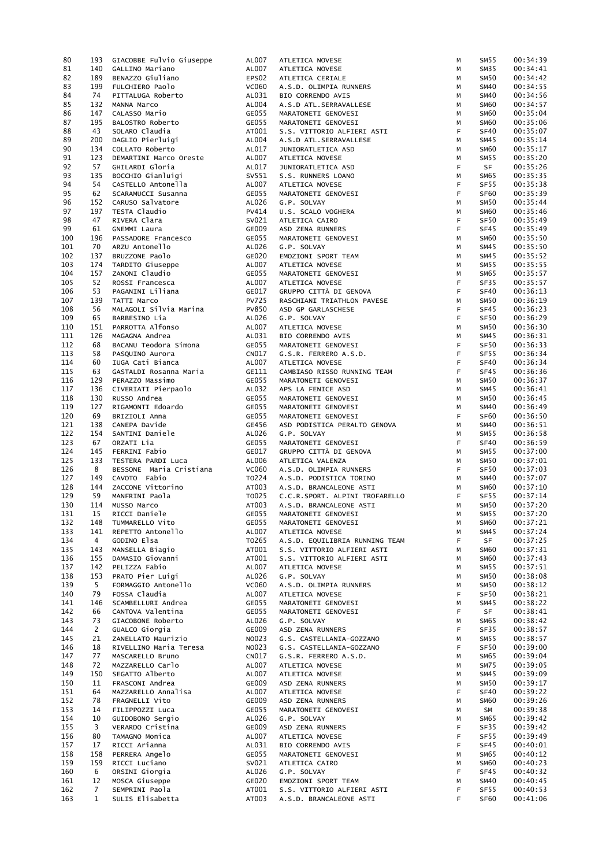| 80         | 193               | GIACOBBE Fulvio Giuseppe           | AL007          | ATLETICA NOVESE                                       | М       | SM <sub>55</sub>                | 00:34:39             |
|------------|-------------------|------------------------------------|----------------|-------------------------------------------------------|---------|---------------------------------|----------------------|
| 81         | 140               | GALLINO Mariano                    | AL007          | ATLETICA NOVESE                                       | М       | SM35                            | 00:34:41             |
| 82         | 189               | BENAZZO Giuliano                   | EPS02          | ATLETICA CERIALE                                      | М       | <b>SM50</b>                     | 00:34:42             |
| 83         | 199               | FULCHIERO Paolo                    | <b>VC060</b>   | A.S.D. OLIMPIA RUNNERS                                | М       | <b>SM40</b>                     | 00:34:55             |
| 84         | 74                | PITTALUGA Roberto                  | AL031          | BIO CORRENDO AVIS                                     | М       | <b>SM40</b>                     | 00:34:56             |
|            |                   |                                    |                |                                                       |         |                                 |                      |
| 85         | 132               | MANNA Marco                        | AL004          | A.S.D ATL.SERRAVALLESE                                | М       | <b>SM60</b>                     | 00:34:57             |
| 86         | 147               | CALASSO Mario                      | GE055          | MARATONETI GENOVESI                                   | М       | <b>SM60</b>                     | 00:35:04             |
| 87         | 195               | BALOSTRO Roberto                   | GE055          | MARATONETI GENOVESI                                   | М       | <b>SM60</b>                     | 00:35:06             |
| 88         | 43                | SOLARO Claudia                     | AT001          | S.S. VITTORIO ALFIERI ASTI                            | F       | SF40                            | 00:35:07             |
| 89         | 200               | DAGLIO Pierluigi                   | AL004          | A.S.D ATL.SERRAVALLESE                                | М       | SM45                            | 00:35:14             |
| 90         | 134               | COLLATO Roberto                    | AL017          | JUNIORATLETICA ASD                                    | М       | <b>SM60</b>                     | 00:35:17             |
| 91         | 123               | DEMARTINI Marco Oreste             | AL007          | ATLETICA NOVESE                                       | М       | SM55                            | 00:35:20             |
| 92         | 57                | GHILARDI Gloria                    | AL017          |                                                       | F.      | <b>SF</b>                       | 00:35:26             |
|            |                   |                                    |                | JUNIORATLETICA ASD                                    |         |                                 |                      |
| 93         | 135               | BOCCHIO Gianluigi                  | SV551          | S.S. RUNNERS LOANO                                    | М       | SM65                            | 00:35:35             |
| 94         | 54                | CASTELLO Antonella                 | AL007          | ATLETICA NOVESE                                       | F.      | SF55                            | 00:35:38             |
| 95         | 62                | SCARAMUCCI Susanna                 | GE055          | MARATONETI GENOVESI                                   | F       | SF <sub>60</sub>                | 00:35:39             |
| 96         | 152               | CARUSO Salvatore                   | AL026          | G.P. SOLVAY                                           | М       | SM50                            | 00:35:44             |
| 97         | 197               | TESTA Claudio                      | PV414          | U.S. SCALO VOGHERA                                    | М       | <b>SM60</b>                     | 00:35:46             |
| 98         | 47                | RIVERA Clara                       | SV021          | ATLETICA CAIRO                                        | F       | SF50                            | 00:35:49             |
| 99         | 61                | GNEMMI Laura                       | GE009          | ASD ZENA RUNNERS                                      | F       | SF45                            | 00:35:49             |
| 100        | 196               | PASSADORE Francesco                | GE055          | MARATONETI GENOVESI                                   | М       | <b>SM60</b>                     | 00:35:50             |
|            |                   |                                    |                |                                                       |         |                                 |                      |
| 101        | 70                | ARZU Antonello                     | AL026          | G.P. SOLVAY                                           | М       | SM45                            | 00:35:50             |
| 102        | 137               | BRUZZONE Paolo                     | GE020          | EMOZIONI SPORT TEAM                                   | М       | SM45                            | 00:35:52             |
| 103        | 174               | TARDITO Giuseppe                   | AL007          | ATLETICA NOVESE                                       | М       | SM55                            | 00:35:55             |
| 104        | 157               | ZANONI Claudio                     | GE055          | MARATONETI GENOVESI                                   | М       | <b>SM65</b>                     | 00:35:57             |
| 105        | 52                | ROSSI Francesca                    | AL007          | ATLETICA NOVESE                                       | F       | SF35                            | 00:35:57             |
| 106        | 53                | PAGANINI Liliana                   | GE017          | GRUPPO CITTÀ DI GENOVA                                | F       | SF40                            | 00:36:13             |
| 107        | 139               | TATTI Marco                        | <b>PV725</b>   | RASCHIANI TRIATHLON PAVESE                            | М       | SM50                            | 00:36:19             |
| 108        | 56                | MALAGOLI Silvia Marina             | <b>PV850</b>   | ASD GP GARLASCHESE                                    | F       | SF45                            | 00:36:23             |
|            |                   |                                    |                |                                                       |         |                                 |                      |
| 109        | 65                | BARBESINO Lia                      | AL026          | G.P. SOLVAY                                           | F.      | SF50                            | 00:36:29             |
| 110        | 151               | PARROTTA Alfonso                   | AL007          | ATLETICA NOVESE                                       | М       | SM50                            | 00:36:30             |
| 111        | 126               | MAGAGNA Andrea                     | AL031          | BIO CORRENDO AVIS                                     | М       | SM45                            | 00:36:31             |
| 112        | 68                | BACANU Teodora Simona              | GE055          | MARATONETI GENOVESI                                   | F       | SF50                            | 00:36:33             |
| 113        | 58                | PASQUINO Aurora                    | CN017          | G.S.R. FERRERO A.S.D.                                 | F.      | <b>SF55</b>                     | 00:36:34             |
| 114        | 60                | IUGA Cati Bianca                   | AL007          | ATLETICA NOVESE                                       | F.      | SF40                            | 00:36:34             |
| 115        | 63                | GASTALDI Rosanna Maria             | GE111          | CAMBIASO RISSO RUNNING TEAM                           | F.      | SF45                            | 00:36:36             |
| 116        | 129               | PERAZZO Massimo                    | GE055          | MARATONETI GENOVESI                                   |         | SM50                            | 00:36:37             |
|            |                   |                                    |                |                                                       | М       |                                 |                      |
| 117        | 136               | CIVERIATI Pierpaolo                | AL032          | APS LA FENICE ASD                                     | М       | SM45                            | 00:36:41             |
| 118        | 130               | RUSSO Andrea                       | GE055          | MARATONETI GENOVESI                                   | М       | SM50                            | 00:36:45             |
| 119        | 127               | RIGAMONTI Edoardo                  | GE055          | MARATONETI GENOVESI                                   | м       | <b>SM40</b>                     | 00:36:49             |
| 120        | 69                | BRIZIOLI Anna                      | GE055          | MARATONETI GENOVESI                                   | F       | SF <sub>60</sub>                | 00:36:50             |
| 121        | 138               | CANEPA Davide                      | GE456          | ASD PODISTICA PERALTO GENOVA                          | М       | <b>SM40</b>                     | 00:36:51             |
| 122        | 154               | SANTINI Daniele                    | AL026          | G.P. SOLVAY                                           | М       | SM55                            | 00:36:58             |
| 123        | 67                | ORZATI Lia                         | GE055          | MARATONETI GENOVESI                                   | F       | SF40                            | 00:36:59             |
| 124        | 145               | FERRINI Fabio                      | GE017          | GRUPPO CITTÀ DI GENOVA                                | М       | SM55                            | 00:37:00             |
|            |                   |                                    |                |                                                       |         |                                 |                      |
| 125        | 133               | TESTERA PARDI Luca                 | AL006          | ATLETICA VALENZA                                      | М       | SM50                            | 00:37:01             |
| 126        | 8                 | BESSONE Maria Cristiana            | <b>VC060</b>   | A.S.D. OLIMPIA RUNNERS                                | F.      | SF50                            | 00:37:03             |
| 127        | 149               | CAVOTO Fabio                       | T0224          | A.S.D. PODISTICA TORINO                               | М       | <b>SM40</b>                     | 00:37:07             |
| 128        | 144               | ZACCONE Vittorino                  | AT003          | A.S.D. BRANCALEONE ASTI                               | М       | <b>SM60</b>                     | 00:37:10             |
| 129        | 59                | MANFRINI Paola                     | T0025          | C.C.R.SPORT. ALPINI TROFARELLO                        | F.      | SF55                            | 00:37:14             |
| 130        | 114               | MUSSO Marco                        | AT003          | A.S.D. BRANCALEONE ASTI                               | М       | <b>SM50</b>                     | 00:37:20             |
| 131        | 15                | RICCI Daniele                      | GE055          | MARATONETI GENOVESI                                   | М       | SM55                            | 00:37:20             |
| 132        | 148               | TUMMARELLO Vito                    | GE055          | MARATONETI GENOVESI                                   | М       | <b>SM60</b>                     | 00:37:21             |
| 133        | 141               | REPETTO Antonello                  | AL007          |                                                       | M       | SM45                            | 00:37:24             |
|            |                   |                                    |                | ATLETICA NOVESE                                       |         |                                 |                      |
| 134        | $\overline{4}$    | GODINO Elsa                        | T0265          | A.S.D. EQUILIBRIA RUNNING TEAM                        | F.      | SF                              | 00:37:25             |
| 135        | 143               | MANSELLA Biagio                    | AT001          | S.S. VITTORIO ALFIERI ASTI                            | М       | <b>SM60</b>                     | 00:37:31             |
| 136        | 155               | DAMASIO Giovanni                   | AT001          | S.S. VITTORIO ALFIERI ASTI                            | М       | <b>SM60</b>                     | 00:37:43             |
| 137        | 142               | PELIZZA Fabio                      | AL007          | ATLETICA NOVESE                                       | М       | SM55                            | 00:37:51             |
| 138        | 153               | PRATO Pier Luigi                   | AL026          | G.P. SOLVAY                                           | М       | SM50                            | 00:38:08             |
| 139        | 5 <sup>1</sup>    | FORMAGGIO Antonello                | <b>VC060</b>   | A.S.D. OLIMPIA RUNNERS                                | М       | SM50                            | 00:38:12             |
| 140        | 79                | FOSSA Claudia                      | AL007          | ATLETICA NOVESE                                       | F       | SF50                            | 00:38:21             |
| 141        | 146               | SCAMBELLURI Andrea                 | GE055          | MARATONETI GENOVESI                                   | М       | <b>SM45</b>                     | 00:38:22             |
| 142        | 66                | CANTOVA Valentina                  | GE055          | MARATONETI GENOVESI                                   | F       | SF                              | 00:38:41             |
| 143        |                   |                                    | AL026          |                                                       |         | <b>SM65</b>                     | 00:38:42             |
|            | 73                | GIACOBONE Roberto                  |                | G.P. SOLVAY                                           | М       |                                 |                      |
| 144        | $\overline{2}$    | GUALCO Giorgia                     | GE009          | ASD ZENA RUNNERS                                      | F       | SF35                            | 00:38:57             |
| 145        | 21                | ZANELLATO Maurizio                 | NO023          | G.S. CASTELLANIA-GOZZANO                              | M       | SM55                            | 00:38:57             |
| 146        | 18                | RIVELLINO Maria Teresa             | NO023          | G.S. CASTELLANIA-GOZZANO                              | F       | SF50                            | 00:39:00             |
| 147        |                   |                                    |                |                                                       |         |                                 |                      |
| 148        | 77                | MASCARELLO Bruno                   | CN017          | G.S.R. FERRERO A.S.D.                                 | М       | <b>SM65</b>                     | 00:39:04             |
|            | 72                | MAZZARELLO Carlo                   | AL007          | ATLETICA NOVESE                                       | М       | SM75                            | 00:39:05             |
|            | 150               | SEGATTO Alberto                    | AL007          | ATLETICA NOVESE                                       | М       | SM45                            | 00:39:09             |
| 149        | 11                |                                    | GE009          |                                                       | М       | SM50                            |                      |
| 150        |                   | FRASCONI Andrea                    |                | ASD ZENA RUNNERS                                      |         |                                 | 00:39:17             |
| 151        | 64                | MAZZARELLO Annalisa                | AL007          | ATLETICA NOVESE                                       | F       | SF40                            | 00:39:22             |
| 152        | 78                | FRAGNELLI Vito                     | GE009          | ASD ZENA RUNNERS                                      | М       | <b>SM60</b>                     | 00:39:26             |
| 153        | 14                | FILIPPOZZI Luca                    | GE055          | MARATONETI GENOVESI                                   | М       | <b>SM</b>                       | 00:39:38             |
| 154        | 10                | GUIDOBONO Sergio                   | AL026          | G.P. SOLVAY                                           | М       | <b>SM65</b>                     | 00:39:42             |
| 155        | 3                 | VERARDO Cristina                   | GE009          | ASD ZENA RUNNERS                                      | F       | SF35                            | 00:39:42             |
| 156        | 80                | TAMAGNO Monica                     | AL007          | ATLETICA NOVESE                                       | F.      | SF55                            | 00:39:49             |
| 157        | 17                | RICCI Arianna                      | AL031          | BIO CORRENDO AVIS                                     | F       | SF45                            | 00:40:01             |
|            |                   |                                    |                |                                                       | м       |                                 |                      |
| 158        | 158               | PERRERA Angelo                     | GE055          | MARATONETI GENOVESI                                   |         | SM65                            | 00:40:12             |
| 159        | 159               | RICCI Luciano                      | SV021          | ATLETICA CAIRO                                        | М       | SM60                            | 00:40:23             |
| 160        | 6                 | ORSINI Giorgia                     | AL026          | G.P. SOLVAY                                           | F       | SF45                            | 00:40:32             |
| 161        | 12                | MOSCA Giuseppe                     | GE020          | EMOZIONI SPORT TEAM                                   | М       | <b>SM40</b>                     | 00:40:45             |
| 162<br>163 | 7<br>$\mathbf{1}$ | SEMPRINI Paola<br>SULIS Elisabetta | AT001<br>AT003 | S.S. VITTORIO ALFIERI ASTI<br>A.S.D. BRANCALEONE ASTI | F<br>F. | <b>SF55</b><br>SF <sub>60</sub> | 00:40:53<br>00:41:06 |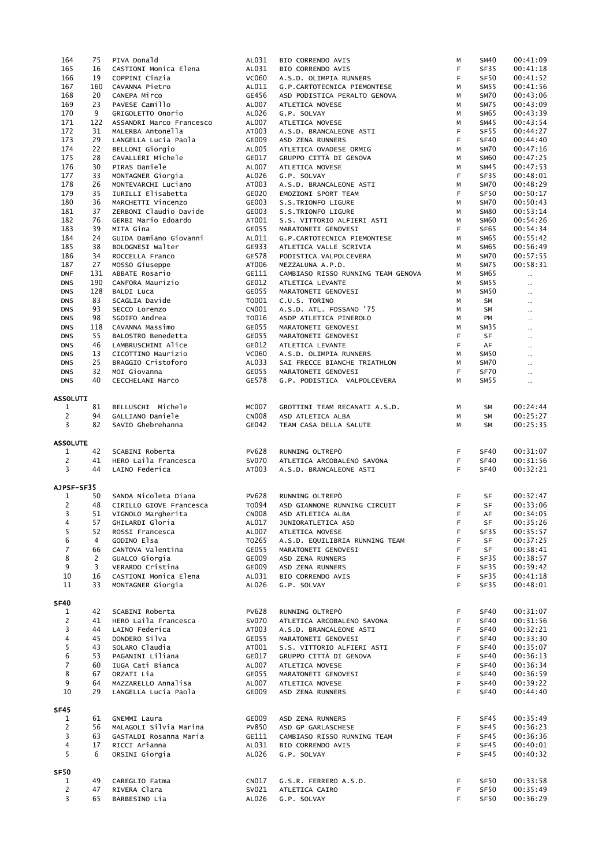| 164                           | 75             | PIVA Donald              | AL031        | BIO CORRENDO AVIS                  | М  | <b>SM40</b>      | 00:41:09 |
|-------------------------------|----------------|--------------------------|--------------|------------------------------------|----|------------------|----------|
| 165                           | 16             |                          | AL031        | BIO CORRENDO AVIS                  | F  | SF35             | 00:41:18 |
|                               |                | CASTIONI Monica Elena    |              |                                    |    |                  |          |
| 166                           | 19             | COPPINI Cinzia           | <b>VC060</b> | A.S.D. OLIMPIA RUNNERS             | F  | SF50             | 00:41:52 |
| 167                           | 160            | CAVANNA Pietro           | AL011        | G.P.CARTOTECNICA PIEMONTESE        | M  | SM55             | 00:41:56 |
| 168                           | 20             | CANEPA Mirco             | GE456        | ASD PODISTICA PERALTO GENOVA       | M  | SM70             | 00:43:06 |
| 169                           | 23             | PAVESE Camillo           | AL007        | ATLETICA NOVESE                    | M  | <b>SM75</b>      | 00:43:09 |
| 170                           | 9              | GRIGOLETTO Onorio        | AL026        | G.P. SOLVAY                        | М  | SM65             | 00:43:39 |
| 171                           | 122            | ASSANDRI Marco Francesco | AL007        |                                    | M  | SM45             | 00:43:54 |
|                               |                |                          |              | ATLETICA NOVESE                    |    |                  |          |
| 172                           | 31             | MALERBA Antonella        | AT003        | A.S.D. BRANCALEONE ASTI            | F  | SF55             | 00:44:27 |
| 173                           | 29             | LANGELLA Lucia Paola     | GE009        | ASD ZENA RUNNERS                   | F  | <b>SF40</b>      | 00:44:40 |
| 174                           | 22             | BELLONI Giorgio          | AL005        | ATLETICA OVADESE ORMIG             | M  | SM70             | 00:47:16 |
| 175                           | 28             | CAVALLERI Michele        | GE017        | GRUPPO CITTÀ DI GENOVA             | M  | <b>SM60</b>      | 00:47:25 |
| 176                           | 30             | PIRAS Daniele            | AL007        | ATLETICA NOVESE                    | M  | SM45             | 00:47:53 |
|                               |                |                          |              |                                    |    |                  |          |
| 177                           | 33             | MONTAGNER Giorgia        | AL026        | G.P. SOLVAY                        | F. | SF35             | 00:48:01 |
| 178                           | 26             | MONTEVARCHI Luciano      | AT003        | A.S.D. BRANCALEONE ASTI            | M  | SM70             | 00:48:29 |
| 179                           | 35             | IURILLI Elisabetta       | GE020        | EMOZIONI SPORT TEAM                | F  | SF50             | 00:50:17 |
| 180                           | 36             | MARCHETTI Vincenzo       | GE003        | S.S.TRIONFO LIGURE                 | M  | SM70             | 00:50:43 |
| 181                           | 37             | ZERBONI Claudio Davide   | GE003        | S.S.TRIONFO LIGURE                 | М  | <b>SM80</b>      | 00:53:14 |
| 182                           | 76             | GERBI Mario Edoardo      | AT001        | S.S. VITTORIO ALFIERI ASTI         | M  | <b>SM60</b>      | 00:54:26 |
|                               |                |                          |              |                                    |    |                  |          |
| 183                           | 39             | MITA Gina                | GE055        | MARATONETI GENOVESI                | F. | SF <sub>65</sub> | 00:54:34 |
| 184                           | 24             | GUIDA Damiano Giovanni   | AL011        | G.P.CARTOTECNICA PIEMONTESE        | M  | SM65             | 00:55:42 |
| 185                           | 38             | BOLOGNESI Walter         | GE933        | ATLETICA VALLE SCRIVIA             | M  | SM65             | 00:56:49 |
| 186                           | 34             | ROCCELLA Franco          | GE578        | PODISTICA VALPOLCEVERA             | M  | SM70             | 00:57:55 |
| 187                           | 27             | MOSSO Giuseppe           | AT006        | MEZZALUNA A.P.D.                   | М  | SM75             | 00:58:31 |
| <b>DNF</b>                    | 131            | ABBATE Rosario           | GE111        | CAMBIASO RISSO RUNNING TEAM GENOVA | M  | SM65             |          |
|                               |                |                          |              |                                    |    |                  | $\cdots$ |
| <b>DNS</b>                    | 190            | CANFORA Maurizio         | GE012        | ATLETICA LEVANTE                   | М  | SM55             | $\cdots$ |
| <b>DNS</b>                    | 128            | <b>BALDI Luca</b>        | GE055        | MARATONETI GENOVESI                | М  | SM50             | $\sim$   |
| <b>DNS</b>                    | 83             | SCAGLIA Davide           | T0001        | C.U.S. TORINO                      | М  | SM               | $\cdots$ |
| <b>DNS</b>                    | 93             | SECCO Lorenzo            | CN001        | A.S.D. ATL. FOSSANO '75            | M  | SM               |          |
| <b>DNS</b>                    | 98             | SGOIFO Andrea            | T0016        | ASDP ATLETICA PINEROLO             | М  | PM               | $\cdots$ |
|                               |                |                          |              |                                    |    |                  | $\cdots$ |
| <b>DNS</b>                    | 118            | CAVANNA Massimo          | GE055        | MARATONETI GENOVESI                | M  | SM35             |          |
| <b>DNS</b>                    | 55             | BALOSTRO Benedetta       | GE055        | MARATONETI GENOVESI                | F  | SF               | $\cdots$ |
| <b>DNS</b>                    | 46             | LAMBRUSCHINI Alice       | GE012        | ATLETICA LEVANTE                   | F  | AF               | $\cdots$ |
| <b>DNS</b>                    | 13             | CICOTTINO Maurizio       | <b>VC060</b> | A.S.D. OLIMPIA RUNNERS             | М  | <b>SM50</b>      |          |
| <b>DNS</b>                    | 25             | BRAGGIO Cristoforo       | AL033        |                                    |    | SM70             |          |
|                               |                |                          |              | SAI FRECCE BIANCHE TRIATHLON       | M  |                  | $\cdots$ |
| <b>DNS</b>                    | 32             | MOI Giovanna             | GE055        | MARATONETI GENOVESI                | F  | SF70             | $\cdots$ |
| <b>DNS</b>                    | 40             | CECCHELANI Marco         | GE578        | G.P. PODISTICA VALPOLCEVERA        | М  | SM55             | $\cdots$ |
|                               |                |                          |              |                                    |    |                  |          |
| <b>ASSOLUTI</b>               |                |                          |              |                                    |    |                  |          |
| $\mathbf{1}$                  | 81             | BELLUSCHI Michele        | <b>MC007</b> | GROTTINI TEAM RECANATI A.S.D.      | М  | <b>SM</b>        | 00:24:44 |
| $\overline{c}$                | 94             | GALLIANO Daniele         | <b>CN008</b> | ASD ATLETICA ALBA                  |    | <b>SM</b>        | 00:25:27 |
|                               |                |                          |              |                                    | M  |                  |          |
| 3                             | 82             | SAVIO Ghebrehanna        | GE042        | TEAM CASA DELLA SALUTE             | M  | SM               | 00:25:35 |
|                               |                |                          |              |                                    |    |                  |          |
| <b>ASSOLUTE</b>               |                |                          |              |                                    |    |                  |          |
| 1                             | 42             | SCABINI Roberta          | <b>PV628</b> | RUNNING OLTREPÒ                    | F. | SF40             | 00:31:07 |
| $\overline{2}$                | 41             | HERO Laila Francesca     | <b>SV070</b> | ATLETICA ARCOBALENO SAVONA         | F  | SF40             | 00:31:56 |
|                               |                |                          |              |                                    |    |                  |          |
| 3                             | 44             | LAINO Federica           | AT003        | A.S.D. BRANCALEONE ASTI            | F. | <b>SF40</b>      | 00:32:21 |
|                               |                |                          |              |                                    |    |                  |          |
| AJPSF-SF35                    |                |                          |              |                                    |    |                  |          |
| 1                             | 50             | SANDA Nicoleta Diana     | <b>PV628</b> | RUNNING OLTREPÒ                    | F. | <b>SF</b>        | 00:32:47 |
| $\overline{c}$                | 48             | CIRILLO GIOVE Francesca  | T0094        | ASD GIANNONE RUNNING CIRCUIT       | F  | SF               | 00:33:06 |
| 3                             | 51             | VIGNOLO Margherita       | <b>CN008</b> |                                    | F  | AF               | 00:34:05 |
|                               |                |                          |              | ASD ATLETICA ALBA                  |    |                  |          |
| $\overline{4}$                | 57             | GHILARDI Gloria          | AL017        | JUNIORATLETICA ASD                 | E  | <b>SF</b>        | 00:35:26 |
| 5                             | 52             | ROSSI Francesca          | AL007        | ATLETICA NOVESE                    | F  | SF35             | 00:35:57 |
| 6                             | 4              | GODINO Elsa              |              |                                    |    |                  |          |
| $\overline{7}$                |                |                          | T0265        |                                    | F  | SF               | 00:37:25 |
| 8                             |                |                          |              | A.S.D. EQUILIBRIA RUNNING TEAM     |    |                  |          |
|                               | 66             | CANTOVA Valentina        | GE055        | MARATONETI GENOVESI                | F  | <b>SF</b>        | 00:38:41 |
|                               | $\overline{2}$ | GUALCO Giorgia           | GE009        | ASD ZENA RUNNERS                   | F  | SF35             | 00:38:57 |
| 9                             | 3              | VERARDO Cristina         | GE009        | ASD ZENA RUNNERS                   | F. | SF35             | 00:39:42 |
| $10\,$                        | 16             | CASTIONI Monica Elena    | AL031        | BIO CORRENDO AVIS                  | F. | SF35             | 00:41:18 |
| 11                            | 33             |                          |              |                                    | F. | SF35             |          |
|                               |                | MONTAGNER Giorgia        | AL026        | G.P. SOLVAY                        |    |                  | 00:48:01 |
|                               |                |                          |              |                                    |    |                  |          |
|                               |                |                          |              |                                    |    |                  |          |
| 1                             | 42             | SCABINI Roberta          | <b>PV628</b> | RUNNING OLTREPÒ                    | F. | SF40             | 00:31:07 |
| 2                             | 41             | HERO Laila Francesca     | <b>SV070</b> | ATLETICA ARCOBALENO SAVONA         | F  | SF40             | 00:31:56 |
|                               | 44             |                          |              |                                    | F  |                  |          |
| 3                             |                | LAINO Federica           | AT003        | A.S.D. BRANCALEONE ASTI            |    | SF40             | 00:32:21 |
| $\overline{4}$                | 45             | DONDERO Silva            | GE055        | MARATONETI GENOVESI                | F  | <b>SF40</b>      | 00:33:30 |
| 5                             | 43             | SOLARO Claudia           | AT001        | S.S. VITTORIO ALFIERI ASTI         | F  | SF40             | 00:35:07 |
| 6                             | 53             | PAGANINI Liliana         | GE017        | GRUPPO CITTÀ DI GENOVA             | F  | SF40             | 00:36:13 |
| $\overline{7}$                | 60             | IUGA Cati Bianca         | AL007        | ATLETICA NOVESE                    | F  | <b>SF40</b>      | 00:36:34 |
| 8                             | 67             | ORZATI Lia               | GE055        | MARATONETI GENOVESI                | F  | SF40             | 00:36:59 |
|                               |                |                          |              |                                    |    |                  |          |
| 9                             | 64             | MAZZARELLO Annalisa      | AL007        | ATLETICA NOVESE                    | F. | SF40             | 00:39:22 |
| 10                            | 29             | LANGELLA Lucia Paola     | GE009        | ASD ZENA RUNNERS                   | F. | <b>SF40</b>      | 00:44:40 |
|                               |                |                          |              |                                    |    |                  |          |
|                               |                |                          |              |                                    |    |                  |          |
| 1                             | 61             |                          |              | ASD ZENA RUNNERS                   | F. |                  |          |
|                               |                | GNEMMI Laura             | GE009        |                                    |    | SF45             | 00:35:49 |
| 2                             | 56             | MALAGOLI Silvia Marina   | <b>PV850</b> | ASD GP GARLASCHESE                 | F  | SF45             | 00:36:23 |
| 3                             | 63             | GASTALDI Rosanna Maria   | GE111        | CAMBIASO RISSO RUNNING TEAM        | F  | SF45             | 00:36:36 |
| $\overline{4}$                | 17             | RICCI Arianna            | AL031        | BIO CORRENDO AVIS                  | F. | SF45             | 00:40:01 |
| 5                             | 6              | ORSINI Giorgia           | AL026        | G.P. SOLVAY                        | F. | SF45             | 00:40:32 |
| <b>SF40</b><br><b>SF45</b>    |                |                          |              |                                    |    |                  |          |
|                               |                |                          |              |                                    |    |                  |          |
|                               |                |                          |              |                                    |    |                  |          |
| $\mathbf{1}$                  | 49             | CAREGLIO Fatma           | CN017        | G.S.R. FERRERO A.S.D.              | F  | SF <sub>50</sub> | 00:33:58 |
| <b>SF50</b><br>$\overline{c}$ | 47             | RIVERA Clara             | SV021        | ATLETICA CAIRO                     | F. | SF50             | 00:35:49 |
| 3                             | 65             | BARBESINO Lia            | AL026        | G.P. SOLVAY                        | F. | SF50             | 00:36:29 |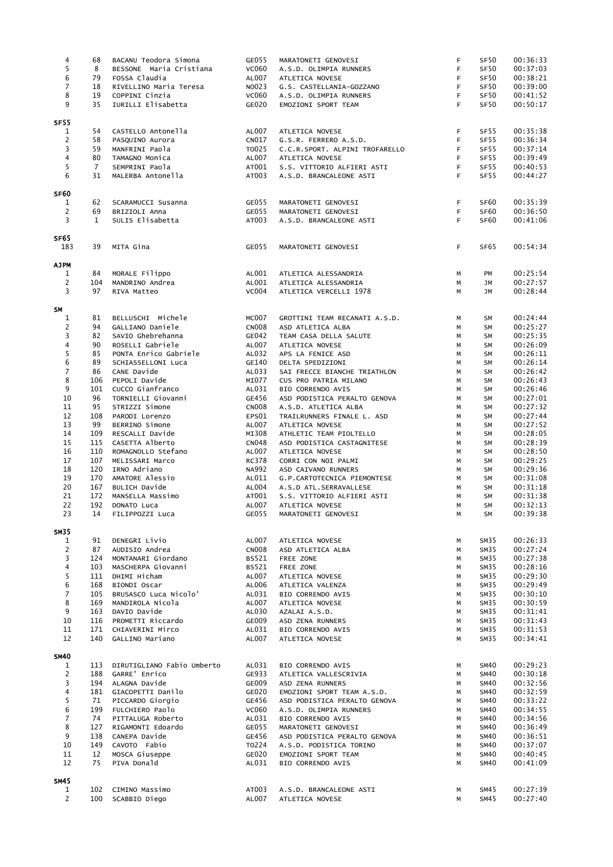| 4                              | 68                 | BACANU Teodora Simona               | GE055                 | MARATONETI GENOVESI                               | F.       | SF <sub>50</sub>                     | 00:36:33             |
|--------------------------------|--------------------|-------------------------------------|-----------------------|---------------------------------------------------|----------|--------------------------------------|----------------------|
| 5                              | 8                  | BESSONE Maria Cristiana             | <b>VC060</b>          | A.S.D. OLIMPIA RUNNERS                            | F.       | SF50                                 | 00:37:03             |
| $\bf 6$                        | 79                 | FOSSA Claudia                       | AL007                 | ATLETICA NOVESE                                   | F.       | SF50                                 | 00:38:21             |
| $\boldsymbol{7}$               | 18                 | RIVELLINO Maria Teresa              | NO023                 | G.S. CASTELLANIA-GOZZANO                          | F.       | <b>SF50</b>                          | 00:39:00             |
| 8                              | 19                 | COPPINI Cinzia                      | <b>VC060</b>          | A.S.D. OLIMPIA RUNNERS                            | F.       | <b>SF50</b>                          | 00:41:52             |
| 9                              | 35                 | IURILLI Elisabetta                  | GE020                 | EMOZIONI SPORT TEAM                               | F.       | SF50                                 | 00:50:17             |
| <b>SF55</b>                    |                    |                                     |                       |                                                   |          |                                      |                      |
| $\mathbf{1}$                   | 54                 | CASTELLO Antonella                  | AL007                 | ATLETICA NOVESE                                   | F.       | SF55                                 | 00:35:38             |
| $\overline{2}$                 | 58                 | PASQUINO Aurora                     | CN017                 | G.S.R. FERRERO A.S.D.                             | F.       | SF55                                 | 00:36:34             |
| $\overline{\mathbf{3}}$        | 59                 | MANFRINI Paola                      | T0025                 | C.C.R.SPORT. ALPINI TROFARELLO                    | F        | SF55                                 | 00:37:14             |
| $\overline{4}$                 | 80                 | TAMAGNO Monica                      | AL007                 | ATLETICA NOVESE                                   | F.       | <b>SF55</b>                          | 00:39:49             |
| $\overline{5}$                 | $\overline{7}$     | SEMPRINI Paola                      | AT001                 | S.S. VITTORIO ALFIERI ASTI                        | F.       | SF55                                 | 00:40:53             |
| $\boldsymbol{6}$               | 31                 | MALERBA Antonella                   | AT003                 | A.S.D. BRANCALEONE ASTI                           | F.       | <b>SF55</b>                          | 00:44:27             |
| <b>SF60</b>                    |                    |                                     |                       |                                                   |          |                                      |                      |
| $\mathbf{1}$                   | 62                 | SCARAMUCCI Susanna                  | GE055                 | MARATONETI GENOVESI                               | F.       | SF <sub>60</sub>                     | 00:35:39             |
| $\overline{c}$<br>3            | 69<br>$\mathbf{1}$ | BRIZIOLI Anna<br>SULIS Elisabetta   | GE055<br>AT003        | MARATONETI GENOVESI<br>A.S.D. BRANCALEONE ASTI    | F.<br>F. | SF <sub>60</sub><br>SF <sub>60</sub> | 00:36:50<br>00:41:06 |
|                                |                    |                                     |                       |                                                   |          |                                      |                      |
| SF65<br>183                    | 39                 | MITA Gina                           | GE055                 | MARATONETI GENOVESI                               | F.       | SF <sub>65</sub>                     | 00:54:34             |
|                                |                    |                                     |                       |                                                   |          |                                      |                      |
| <b>AJPM</b><br>$\mathbf{1}$    | 84                 | MORALE Filippo                      | AL001                 | ATLETICA ALESSANDRIA                              | М        | PM                                   | 00:25:54             |
| $\overline{2}$                 | 104                | MANDRINO Andrea                     | AL001                 | ATLETICA ALESSANDRIA                              | M        | JM                                   | 00:27:57             |
| $\overline{3}$                 | 97                 | RIVA Matteo                         | <b>VC004</b>          | ATLETICA VERCELLI 1978                            | M        | JM                                   | 00:28:44             |
| <b>SM</b>                      |                    |                                     |                       |                                                   |          |                                      |                      |
| $\mathbf{1}$                   | 81                 | BELLUSCHI Michele                   | <b>MC007</b>          | GROTTINI TEAM RECANATI A.S.D.                     | М        | SM                                   | 00:24:44             |
| $\overline{c}$                 | 94                 | GALLIANO Daniele                    | <b>CN008</b>          | ASD ATLETICA ALBA                                 | M        | <b>SM</b>                            | 00:25:27             |
| 3                              | 82                 | SAVIO Ghebrehanna                   | GE042                 | TEAM CASA DELLA SALUTE                            | M        | <b>SM</b>                            | 00:25:35             |
| $\overline{\mathbf{4}}$        | 90                 | ROSELLI Gabriele                    | AL007                 | ATLETICA NOVESE                                   | М        | <b>SM</b>                            | 00:26:09             |
| 5<br>$\boldsymbol{6}$          | 85                 | PONTA Enrico Gabriele               | AL032                 | APS LA FENICE ASD                                 | M        | <b>SM</b>                            | 00:26:11             |
| $\boldsymbol{7}$               | 89                 | SCHIASSELLONI Luca                  | GE140                 | DELTA SPEDIZIONI                                  | M        | <b>SM</b>                            | 00:26:14             |
|                                | 86                 | CANE Davide                         | AL033                 | SAI FRECCE BIANCHE TRIATHLON                      | M        | <b>SM</b>                            | 00:26:42             |
| $\bf 8$<br>9                   | 106                | PEPOLI Davide<br>CUCCO Gianfranco   | MI077                 | CUS PRO PATRIA MILANO                             | M<br>M   | <b>SM</b>                            | 00:26:43<br>00:26:46 |
| 10                             | 101<br>96          | TORNIELLI Giovanni                  | AL031<br>GE456        | BIO CORRENDO AVIS<br>ASD PODISTICA PERALTO GENOVA | М        | SM<br><b>SM</b>                      | 00:27:01             |
| 11                             |                    |                                     |                       |                                                   |          |                                      | 00:27:32             |
| 12                             | 95<br>108          | STRIZZI Simone                      | <b>CN008</b><br>EPS01 | A.S.D. ATLETICA ALBA                              | M<br>M   | <b>SM</b><br><b>SM</b>               | 00:27:44             |
| 13                             | 99                 | PARODI Lorenzo<br>BERRINO Simone    | AL007                 | TRAILRUNNERS FINALE L. ASD<br>ATLETICA NOVESE     | М        | <b>SM</b>                            | 00:27:52             |
| 14                             | 109                | RESCALLI Davide                     | MI308                 | ATHLETIC TEAM PIOLTELLO                           | М        | <b>SM</b>                            | 00:28:05             |
| 15                             | 115                | CASETTA Alberto                     | <b>CN048</b>          | ASD PODISTICA CASTAGNITESE                        | M        | <b>SM</b>                            | 00:28:39             |
| 16                             | 110                | ROMAGNOLLO Stefano                  | AL007                 | ATLETICA NOVESE                                   | М        | SM                                   | 00:28:50             |
| 17                             | 107                | MELISSARI Marco                     | <b>RC378</b>          | CORRI CON NOI PALMI                               | М        | <b>SM</b>                            | 00:29:25             |
| 18                             | 120                | IRNO Adriano                        | <b>NA992</b>          | ASD CAIVANO RUNNERS                               | M        | <b>SM</b>                            | 00:29:36             |
| 19                             | 170                | AMATORE Alessio                     | AL011                 | G.P.CARTOTECNICA PIEMONTESE                       | M        | <b>SM</b>                            | 00:31:08             |
| 20                             | 167                | BULICH Davide                       | AL004                 | A.S.D ATL.SERRAVALLESE                            | M        | <b>SM</b>                            | 00:31:18             |
| 21                             | 172                | MANSELLA Massimo                    | AT001                 | S.S. VITTORIO ALFIERI ASTI                        | М        | <b>SM</b>                            | 00:31:38             |
| 22                             | 192                | DONATO Luca                         | AL007                 | ATLETICA NOVESE                                   | M        | SM                                   | 00:32:13             |
| 23                             | 14                 | FILIPPOZZI Luca                     | GE055                 | MARATONETI GENOVESI                               | M        | <b>SM</b>                            | 00:39:38             |
| <b>SM35</b>                    |                    |                                     |                       |                                                   |          |                                      |                      |
| $\mathbf{1}$                   | 91                 | DENEGRI Livio                       | AL007                 | ATLETICA NOVESE                                   | М        | SM35                                 | 00:26:33             |
| $\overline{c}$                 | 87                 | AUDISIO Andrea                      | <b>CN008</b>          | ASD ATLETICA ALBA                                 | M        | SM35                                 | 00:27:24             |
| 3                              | 124                | MONTANARI Giordano                  | BS521                 | FREE ZONE                                         | M        | SM35                                 | 00:27:38             |
| $\overline{\mathbf{4}}$        | 103                | MASCHERPA Giovanni                  | BS521                 | FREE ZONE                                         | M        | SM35                                 | 00:28:16             |
| 5                              | 111                | DHIMI Hicham                        | AL007                 | ATLETICA NOVESE                                   | M        | SM35                                 | 00:29:30             |
| 6                              | 168                | BIONDI Oscar                        | AL006                 | ATLETICA VALENZA                                  | M        | SM35                                 | 00:29:49             |
| $\overline{7}$                 | 105                | BRUSASCO Luca Nicolo'               | AL031                 | BIO CORRENDO AVIS                                 | M        | SM35                                 | 00:30:10             |
| 8                              | 169                | MANDIROLA Nicola                    | AL007                 | ATLETICA NOVESE                                   | М        | SM35                                 | 00:30:59             |
| 9                              | 163                | DAVIO Davide                        | AL030                 | AZALAI A.S.D.                                     | M        | SM35                                 | 00:31:41             |
| 10                             | 116                | PROMETTI Riccardo                   | GE009                 | ASD ZENA RUNNERS                                  | М        | SM35                                 | 00:31:43             |
| 11<br>12                       | 171<br>140         | CHIAVERINI Mirco<br>GALLINO Mariano | AL031<br>AL007        | BIO CORRENDO AVIS<br>ATLETICA NOVESE              | М<br>М   | SM35<br>SM35                         | 00:31:53<br>00:34:41 |
|                                |                    |                                     |                       |                                                   |          |                                      |                      |
| <b>SM40</b>                    | 113                | DIRUTIGLIANO Fabio Umberto          | AL031                 |                                                   |          |                                      | 00:29:23             |
| $\mathbf{1}$<br>$\overline{2}$ | 188                | GARRE' Enrico                       | GE933                 | BIO CORRENDO AVIS<br>ATLETICA VALLESCRIVIA        | M<br>M   | <b>SM40</b><br><b>SM40</b>           | 00:30:18             |
| 3                              | 194                | ALAGNA Davide                       | GE009                 | ASD ZENA RUNNERS                                  | M        | <b>SM40</b>                          | 00:32:56             |
| $\overline{\mathbf{4}}$        | 181                | GIACOPETTI Danilo                   | GE020                 | EMOZIONI SPORT TEAM A.S.D.                        | M        | <b>SM40</b>                          | 00:32:59             |
| 5                              | 71                 | PICCARDO Giorgio                    | GE456                 | ASD PODISTICA PERALTO GENOVA                      | M        | <b>SM40</b>                          | 00:33:22             |
| 6                              | 199                | FULCHIERO Paolo                     | <b>VC060</b>          | A.S.D. OLIMPIA RUNNERS                            | M        | <b>SM40</b>                          | 00:34:55             |
| $\overline{7}$                 | 74                 | PITTALUGA Roberto                   | AL031                 | BIO CORRENDO AVIS                                 | M        | <b>SM40</b>                          | 00:34:56             |
| $\bf 8$                        | 127                | RIGAMONTI Edoardo                   | GE055                 | MARATONETI GENOVESI                               | M        | <b>SM40</b>                          | 00:36:49             |
| 9                              | 138                | CANEPA Davide                       | GE456                 | ASD PODISTICA PERALTO GENOVA                      | M        | <b>SM40</b>                          | 00:36:51             |
| 10                             | 149                | CAVOTO Fabio                        | T0224                 | A.S.D. PODISTICA TORINO                           | М        | <b>SM40</b>                          | 00:37:07             |
| $11\,$                         | 12                 | MOSCA Giuseppe                      | GE020                 | EMOZIONI SPORT TEAM                               | М        | <b>SM40</b>                          | 00:40:45             |
| 12                             | 75                 | PIVA Donald                         | AL031                 | BIO CORRENDO AVIS                                 | М        | <b>SM40</b>                          | 00:41:09             |
| <b>SM45</b>                    |                    |                                     |                       |                                                   |          |                                      |                      |
| 1                              | 102                | CIMINO Massimo                      | AT003                 | A.S.D. BRANCALEONE ASTI                           | м        | SM45                                 | 00:27:39             |
| $\overline{c}$                 | 100                | SCABBIO Diego                       | AL007                 | ATLETICA NOVESE                                   | М        | SM45                                 | 00:27:40             |
|                                |                    |                                     |                       |                                                   |          |                                      |                      |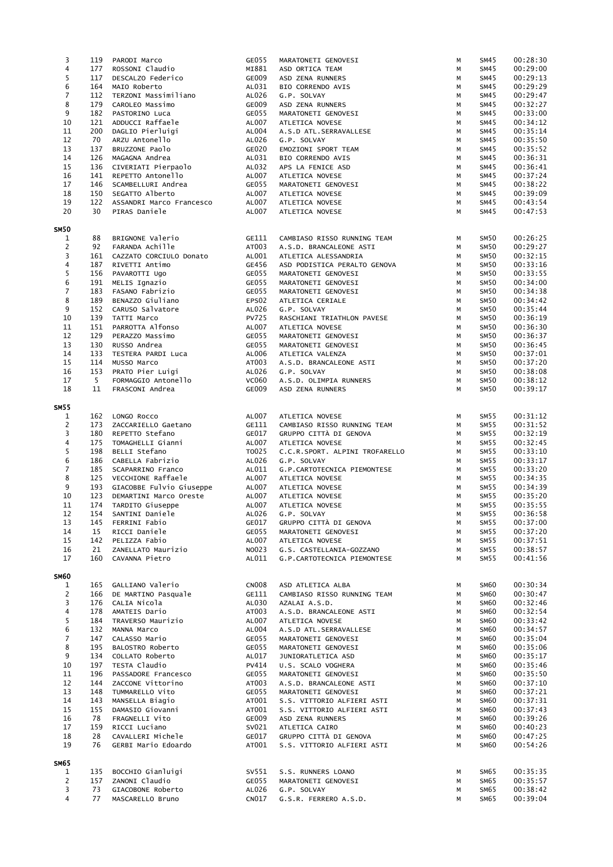| 3                       | 119 | PARODI Marco             | GE055        | MARATONETI GENOVESI            | М | SM45        | 00:28:30 |
|-------------------------|-----|--------------------------|--------------|--------------------------------|---|-------------|----------|
| 4                       | 177 | ROSSONI Claudio          | MI881        | ASD ORTICA TEAM                | М | SM45        | 00:29:00 |
| 5                       | 117 | DESCALZO Federico        | GE009        | ASD ZENA RUNNERS               | М | <b>SM45</b> | 00:29:13 |
| 6                       | 164 | MAIO Roberto             | AL031        | BIO CORRENDO AVIS              | М | <b>SM45</b> | 00:29:29 |
|                         |     |                          |              |                                |   |             |          |
| $\overline{7}$          | 112 | TERZONI Massimiliano     | AL026        | G.P. SOLVAY                    | M | SM45        | 00:29:47 |
| 8                       | 179 | CAROLEO Massimo          | GE009        | ASD ZENA RUNNERS               | М | <b>SM45</b> | 00:32:27 |
| 9                       | 182 | PASTORINO Luca           | GE055        | MARATONETI GENOVESI            | M | SM45        | 00:33:00 |
| $10\,$                  | 121 | ADDUCCI Raffaele         | AL007        | ATLETICA NOVESE                | M | SM45        | 00:34:12 |
| $11\,$                  | 200 | DAGLIO Pierluigi         | AL004        | A.S.D ATL.SERRAVALLESE         | M | <b>SM45</b> | 00:35:14 |
|                         |     |                          |              |                                |   |             |          |
| 12                      | 70  | ARZU Antonello           | AL026        | G.P. SOLVAY                    | M | <b>SM45</b> | 00:35:50 |
| 13                      | 137 | BRUZZONE Paolo           | GE020        | EMOZIONI SPORT TEAM            | M | <b>SM45</b> | 00:35:52 |
| 14                      | 126 | MAGAGNA Andrea           | AL031        | BIO CORRENDO AVIS              | M | SM45        | 00:36:31 |
| 15                      | 136 | CIVERIATI Pierpaolo      | AL032        | APS LA FENICE ASD              | M | SM45        | 00:36:41 |
| 16                      | 141 | REPETTO Antonello        | AL007        |                                | M | SM45        | 00:37:24 |
|                         |     |                          |              | ATLETICA NOVESE                |   |             |          |
| 17                      | 146 | SCAMBELLURI Andrea       | GE055        | MARATONETI GENOVESI            | M | SM45        | 00:38:22 |
| 18                      | 150 | SEGATTO Alberto          | AL007        | ATLETICA NOVESE                | M | SM45        | 00:39:09 |
| 19                      | 122 | ASSANDRI Marco Francesco | AL007        | ATLETICA NOVESE                | M | SM45        | 00:43:54 |
| 20                      | 30  | PIRAS Daniele            | AL007        | ATLETICA NOVESE                | M | SM45        | 00:47:53 |
|                         |     |                          |              |                                |   |             |          |
| SM50                    |     |                          |              |                                |   |             |          |
| 1                       | 88  | BRIGNONE Valerio         | GE111        | CAMBIASO RISSO RUNNING TEAM    | M | <b>SM50</b> | 00:26:25 |
| $\overline{c}$          | 92  | FARANDA Achille          | AT003        | A.S.D. BRANCALEONE ASTI        | М | <b>SM50</b> | 00:29:27 |
| 3                       | 161 | CAZZATO CORCIULO Donato  | AL001        | ATLETICA ALESSANDRIA           | M | SM50        | 00:32:15 |
| 4                       | 187 | RIVETTI Antimo           | GE456        | ASD PODISTICA PERALTO GENOVA   | M | <b>SM50</b> | 00:33:16 |
| 5                       | 156 | PAVAROTTI Ugo            | GE055        | MARATONETI GENOVESI            | M | <b>SM50</b> | 00:33:55 |
|                         |     |                          |              |                                |   |             |          |
| 6                       | 191 | MELIS Ignazio            | GE055        | MARATONETI GENOVESI            | M | <b>SM50</b> | 00:34:00 |
| $\overline{7}$          | 183 | FASANO Fabrizio          | GE055        | MARATONETI GENOVESI            | M | <b>SM50</b> | 00:34:38 |
| 8                       | 189 | BENAZZO Giuliano         | EPS02        | ATLETICA CERIALE               | M | <b>SM50</b> | 00:34:42 |
| 9                       | 152 | CARUSO Salvatore         | AL026        | G.P. SOLVAY                    | M | <b>SM50</b> | 00:35:44 |
|                         |     |                          |              |                                |   |             |          |
| $10\,$                  | 139 | TATTI Marco              | <b>PV725</b> | RASCHIANI TRIATHLON PAVESE     | M | <b>SM50</b> | 00:36:19 |
| $11\,$                  | 151 | PARROTTA Alfonso         | AL007        | ATLETICA NOVESE                | M | <b>SM50</b> | 00:36:30 |
| 12                      | 129 | PERAZZO Massimo          | GE055        | MARATONETI GENOVESI            | M | <b>SM50</b> | 00:36:37 |
| 13                      | 130 | RUSSO Andrea             | GE055        |                                | M | <b>SM50</b> | 00:36:45 |
|                         |     |                          |              | MARATONETI GENOVESI            |   |             |          |
| 14                      | 133 | TESTERA PARDI Luca       | AL006        | ATLETICA VALENZA               | M | SM50        | 00:37:01 |
| 15                      | 114 | MUSSO Marco              | AT003        | A.S.D. BRANCALEONE ASTI        | M | SM50        | 00:37:20 |
| 16                      | 153 | PRATO Pier Luigi         | AL026        | G.P. SOLVAY                    | M | SM50        | 00:38:08 |
| 17                      | 5   | FORMAGGIO Antonello      |              |                                |   |             |          |
|                         |     |                          | <b>VC060</b> | A.S.D. OLIMPIA RUNNERS         | M | <b>SM50</b> | 00:38:12 |
| 18                      | 11  | FRASCONI Andrea          | GE009        | ASD ZENA RUNNERS               | M | <b>SM50</b> | 00:39:17 |
| SM55                    |     |                          |              |                                |   |             |          |
| 1                       | 162 | LONGO ROCCO              | AL007        | ATLETICA NOVESE                | М | SM55        | 00:31:12 |
|                         |     |                          |              |                                |   |             |          |
| $\overline{c}$          | 173 | ZACCARIELLO Gaetano      | GE111        | CAMBIASO RISSO RUNNING TEAM    | M | <b>SM55</b> | 00:31:52 |
| 3                       | 180 | REPETTO Stefano          | GE017        | GRUPPO CITTÀ DI GENOVA         | M | <b>SM55</b> | 00:32:19 |
| $\overline{\mathbf{4}}$ | 175 | TOMAGHELLI Gianni        | AL007        | ATLETICA NOVESE                | M | <b>SM55</b> | 00:32:45 |
| 5                       | 198 | BELLI Stefano            | T0025        | C.C.R.SPORT. ALPINI TROFARELLO | M | <b>SM55</b> | 00:33:10 |
|                         |     |                          |              |                                |   |             |          |
| 6                       | 186 | CABELLA Fabrizio         | AL026        | G.P. SOLVAY                    | M | <b>SM55</b> | 00:33:17 |
| $\overline{7}$          | 185 | SCAPARRINO Franco        | AL011        | G.P.CARTOTECNICA PIEMONTESE    | M | <b>SM55</b> | 00:33:20 |
| 8                       | 125 | VECCHIONE Raffaele       | AL007        | ATLETICA NOVESE                | M | <b>SM55</b> | 00:34:35 |
| 9                       | 193 | GIACOBBE Fulvio Giuseppe | AL007        | ATLETICA NOVESE                | M | <b>SM55</b> | 00:34:39 |
| 10                      | 123 |                          | AL007        | ATLETICA NOVESE                |   | <b>SM55</b> |          |
|                         |     | DEMARTINI Marco Oreste   |              |                                | M |             | 00:35:20 |
| 11                      | 174 | TARDITO Giuseppe         | AL007        | ATLETICA NOVESE                | М | SM55        | 00:35:55 |
| 12                      | 154 | SANTINI Daniele          | AL026        | G.P. SOLVAY                    | M | SM55        | 00:36:58 |
| 13                      | 145 | FERRINI Fabio            | GE017        | GRUPPO CITTÀ DI GENOVA         | M | <b>SM55</b> | 00:37:00 |
| 14                      |     | RICCI Daniele            | GE055        |                                | M | <b>SM55</b> | 00:37:20 |
|                         | 15  |                          |              | MARATONETI GENOVESI            |   |             |          |
| 15                      | 142 |                          |              |                                |   |             |          |
|                         |     | PELIZZA Fabio            | AL007        | ATLETICA NOVESE                | M | <b>SM55</b> | 00:37:51 |
| 16                      | 21  | ZANELLATO Maurizio       | NO023        | G.S. CASTELLANIA-GOZZANO       | M | <b>SM55</b> | 00:38:57 |
|                         |     |                          |              |                                |   |             |          |
| 17                      | 160 | CAVANNA Pietro           | AL011        | G.P.CARTOTECNICA PIEMONTESE    | M | SM55        | 00:41:56 |
| SM60                    |     |                          |              |                                |   |             |          |
| 1                       | 165 | GALLIANO Valerio         | <b>CN008</b> | ASD ATLETICA ALBA              | М | <b>SM60</b> | 00:30:34 |
|                         | 166 |                          | GE111        | CAMBIASO RISSO RUNNING TEAM    | M | <b>SM60</b> | 00:30:47 |
| $\overline{c}$          |     | DE MARTINO Pasquale      |              |                                |   |             |          |
| 3                       | 176 | CALIA Nicola             | AL030        | AZALAI A.S.D.                  | M | <b>SM60</b> | 00:32:46 |
| $\overline{\mathbf{4}}$ | 178 | AMATEIS Dario            | AT003        | A.S.D. BRANCALEONE ASTI        | M | <b>SM60</b> | 00:32:54 |
| 5                       | 184 | TRAVERSO Maurizio        | AL007        | ATLETICA NOVESE                | M | <b>SM60</b> | 00:33:42 |
| 6                       | 132 | MANNA Marco              | AL004        | A.S.D ATL.SERRAVALLESE         | M | <b>SM60</b> | 00:34:57 |
|                         |     |                          |              |                                | М |             |          |
| $\overline{7}$          | 147 | CALASSO Mario            | GE055        | MARATONETI GENOVESI            |   | <b>SM60</b> | 00:35:04 |
| 8                       | 195 | BALOSTRO Roberto         | GE055        | MARATONETI GENOVESI            | M | <b>SM60</b> | 00:35:06 |
| 9                       | 134 | COLLATO Roberto          | AL017        | JUNIORATLETICA ASD             | M | <b>SM60</b> | 00:35:17 |
| 10                      | 197 | TESTA Claudio            | <b>PV414</b> | U.S. SCALO VOGHERA             | M | <b>SM60</b> | 00:35:46 |
| 11                      | 196 | PASSADORE Francesco      | GE055        | MARATONETI GENOVESI            | M | <b>SM60</b> | 00:35:50 |
|                         |     |                          |              |                                |   |             |          |
| 12                      | 144 | ZACCONE Vittorino        | AT003        | A.S.D. BRANCALEONE ASTI        | M | <b>SM60</b> | 00:37:10 |
| 13                      | 148 | TUMMARELLO Vito          | GE055        | MARATONETI GENOVESI            | M | <b>SM60</b> | 00:37:21 |
| 14                      | 143 | MANSELLA Biagio          | AT001        | S.S. VITTORIO ALFIERI ASTI     | M | <b>SM60</b> | 00:37:31 |
| 15                      | 155 | DAMASIO Giovanni         | AT001        | S.S. VITTORIO ALFIERI ASTI     | M | <b>SM60</b> | 00:37:43 |
|                         |     |                          |              |                                |   |             |          |
| 16                      | 78  | FRAGNELLI Vito           | GE009        | ASD ZENA RUNNERS               | M | <b>SM60</b> | 00:39:26 |
| 17                      | 159 | RICCI Luciano            | SV021        | ATLETICA CAIRO                 | М | <b>SM60</b> | 00:40:23 |
| 18                      | 28  | CAVALLERI Michele        | GE017        | GRUPPO CITTÀ DI GENOVA         | M | <b>SM60</b> | 00:47:25 |
| 19                      | 76  | GERBI Mario Edoardo      | AT001        | S.S. VITTORIO ALFIERI ASTI     | M | <b>SM60</b> | 00:54:26 |
|                         |     |                          |              |                                |   |             |          |
| SM65                    |     |                          |              |                                |   |             |          |
| 1                       | 135 | BOCCHIO Gianluigi        | SV551        | S.S. RUNNERS LOANO             | М | SM65        | 00:35:35 |
| $\overline{a}$          | 157 | ZANONI Claudio           | GE055        | MARATONETI GENOVESI            | М | <b>SM65</b> | 00:35:57 |
| 3                       | 73  | GIACOBONE Roberto        | AL026        | G.P. SOLVAY                    | M | <b>SM65</b> | 00:38:42 |
| 4                       | 77  | MASCARELLO Bruno         | CN017        | G.S.R. FERRERO A.S.D.          | M | <b>SM65</b> | 00:39:04 |